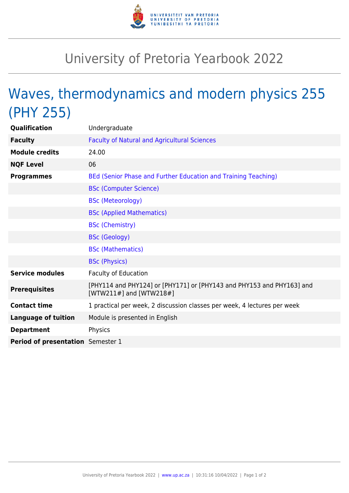

## University of Pretoria Yearbook 2022

## Waves, thermodynamics and modern physics 255 (PHY 255)

| Qualification                     | Undergraduate                                                                                    |
|-----------------------------------|--------------------------------------------------------------------------------------------------|
| <b>Faculty</b>                    | <b>Faculty of Natural and Agricultural Sciences</b>                                              |
| <b>Module credits</b>             | 24.00                                                                                            |
| <b>NQF Level</b>                  | 06                                                                                               |
| <b>Programmes</b>                 | BEd (Senior Phase and Further Education and Training Teaching)                                   |
|                                   | <b>BSc (Computer Science)</b>                                                                    |
|                                   | <b>BSc (Meteorology)</b>                                                                         |
|                                   | <b>BSc (Applied Mathematics)</b>                                                                 |
|                                   | <b>BSc (Chemistry)</b>                                                                           |
|                                   | <b>BSc (Geology)</b>                                                                             |
|                                   | <b>BSc (Mathematics)</b>                                                                         |
|                                   | <b>BSc (Physics)</b>                                                                             |
| <b>Service modules</b>            | <b>Faculty of Education</b>                                                                      |
| <b>Prerequisites</b>              | [PHY114 and PHY124] or [PHY171] or [PHY143 and PHY153 and PHY163] and<br>[WTW211#] and [WTW218#] |
| <b>Contact time</b>               | 1 practical per week, 2 discussion classes per week, 4 lectures per week                         |
| <b>Language of tuition</b>        | Module is presented in English                                                                   |
| <b>Department</b>                 | Physics                                                                                          |
| Period of presentation Semester 1 |                                                                                                  |